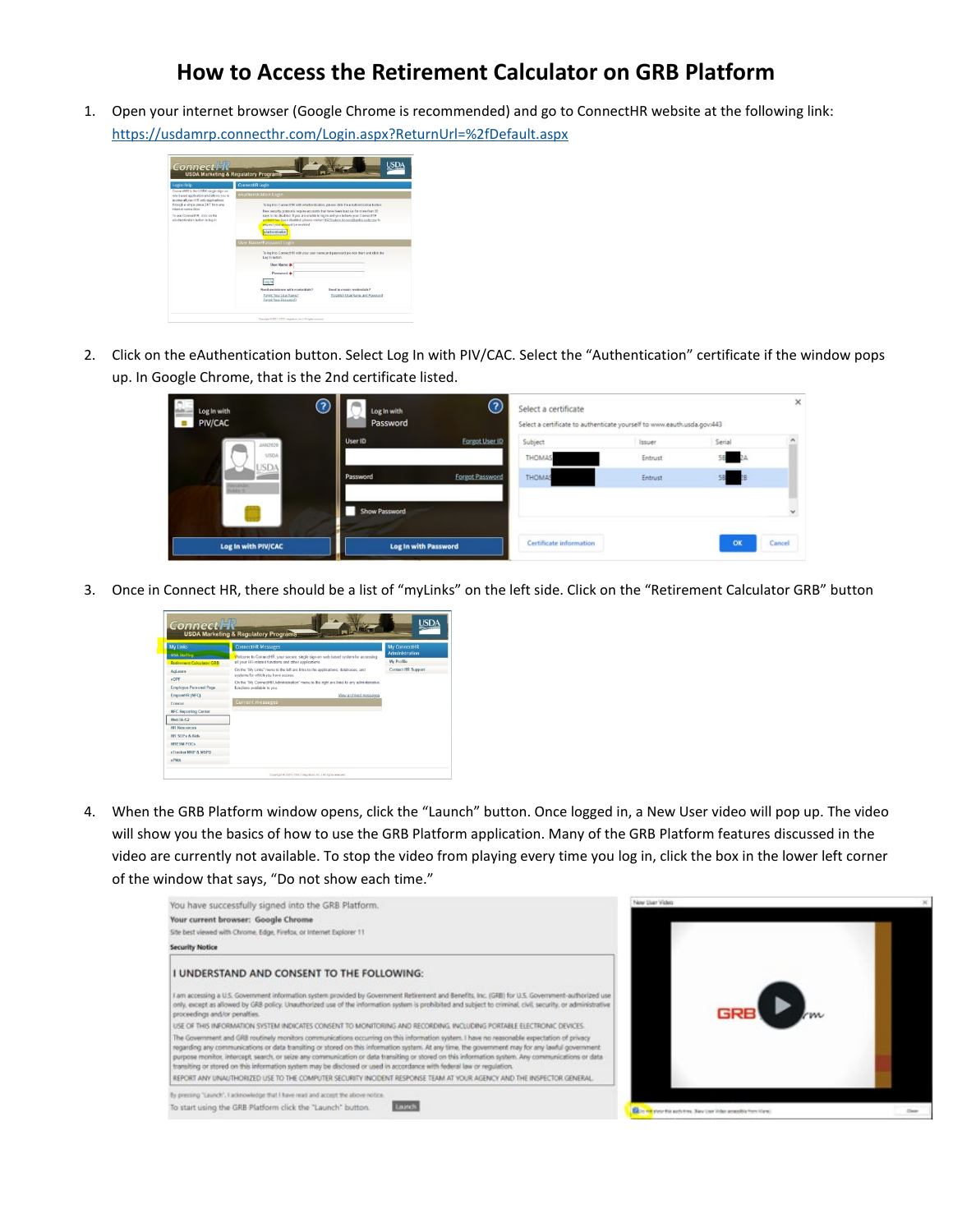## **How to Access the Retirement Calculator on GRB Platform**

1. Open your internet browser (Google Chrome is recommended) and go to ConnectHR website at the following link: <https://usdamrp.connecthr.com/Login.aspx?ReturnUrl=%2fDefault.aspx>



2. Click on the eAuthentication button. Select Log In with PIV/CAC. Select the "Authentication" certificate if the window pops up. In Google Chrome, that is the 2nd certificate listed.

| Log In with<br>PIV/CAC                      | $\odot$<br>Log In with<br>Password | $\odot$                | Select a certificate    | Select a certificate to authenticate yourself to www.eauth.usda.gov:443 |          | $\times$     |
|---------------------------------------------|------------------------------------|------------------------|-------------------------|-------------------------------------------------------------------------|----------|--------------|
| JAN2020                                     | User ID                            | Forgot User ID         | Subject                 | Issuer                                                                  | Serial   |              |
| USDA<br><b>USDA</b>                         |                                    |                        | <b>THOMAS</b>           | Entrust                                                                 |          |              |
| Nexander.<br>historia                       | Password                           | <b>Forgot Password</b> | THOMAS                  | Entrust                                                                 | 58<br>èВ |              |
|                                             | Show Password                      |                        |                         |                                                                         |          | $\checkmark$ |
| Log In with PIV/CAC<br>Log In with Password |                                    |                        | Certificate information |                                                                         | OK       | Cancel       |

3. Once in Connect HR, there should be a list of "myLinks" on the left side. Click on the "Retirement Calculator GRB" button



4. When the GRB Platform window opens, click the "Launch" button. Once logged in, a New User video will pop up. The video will show you the basics of how to use the GRB Platform application. Many of the GRB Platform features discussed in the video are currently not available. To stop the video from playing every time you log in, click the box in the lower left corner of the window that says, "Do not show each time."